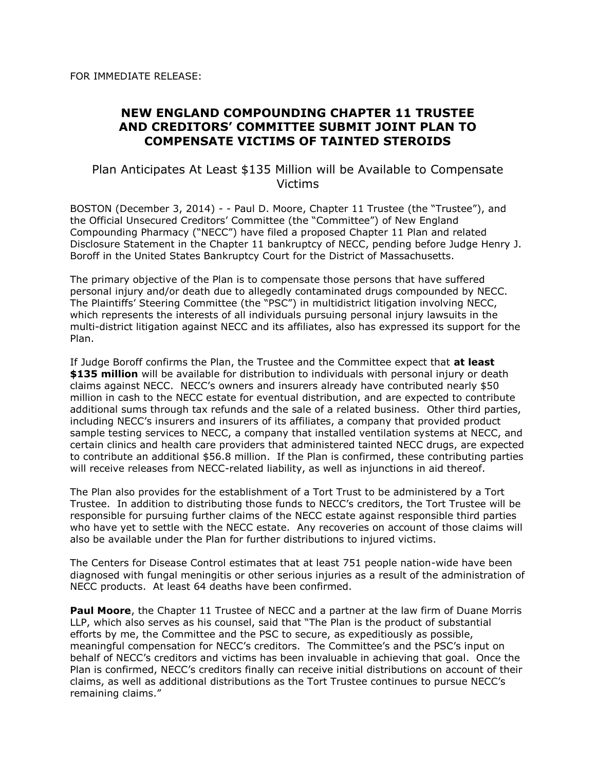FOR IMMEDIATE RELEASE:

## **NEW ENGLAND COMPOUNDING CHAPTER 11 TRUSTEE AND CREDITORS' COMMITTEE SUBMIT JOINT PLAN TO COMPENSATE VICTIMS OF TAINTED STEROIDS**

## Plan Anticipates At Least \$135 Million will be Available to Compensate Victims

BOSTON (December 3, 2014) - - Paul D. Moore, Chapter 11 Trustee (the "Trustee"), and the Official Unsecured Creditors' Committee (the "Committee") of New England Compounding Pharmacy ("NECC") have filed a proposed Chapter 11 Plan and related Disclosure Statement in the Chapter 11 bankruptcy of NECC, pending before Judge Henry J. Boroff in the United States Bankruptcy Court for the District of Massachusetts.

The primary objective of the Plan is to compensate those persons that have suffered personal injury and/or death due to allegedly contaminated drugs compounded by NECC. The Plaintiffs' Steering Committee (the "PSC") in multidistrict litigation involving NECC, which represents the interests of all individuals pursuing personal injury lawsuits in the multi-district litigation against NECC and its affiliates, also has expressed its support for the Plan.

If Judge Boroff confirms the Plan, the Trustee and the Committee expect that **at least \$135 million** will be available for distribution to individuals with personal injury or death claims against NECC. NECC's owners and insurers already have contributed nearly \$50 million in cash to the NECC estate for eventual distribution, and are expected to contribute additional sums through tax refunds and the sale of a related business. Other third parties, including NECC's insurers and insurers of its affiliates, a company that provided product sample testing services to NECC, a company that installed ventilation systems at NECC, and certain clinics and health care providers that administered tainted NECC drugs, are expected to contribute an additional \$56.8 million. If the Plan is confirmed, these contributing parties will receive releases from NECC-related liability, as well as injunctions in aid thereof.

The Plan also provides for the establishment of a Tort Trust to be administered by a Tort Trustee. In addition to distributing those funds to NECC's creditors, the Tort Trustee will be responsible for pursuing further claims of the NECC estate against responsible third parties who have yet to settle with the NECC estate. Any recoveries on account of those claims will also be available under the Plan for further distributions to injured victims.

The Centers for Disease Control estimates that at least 751 people nation-wide have been diagnosed with fungal meningitis or other serious injuries as a result of the administration of NECC products. At least 64 deaths have been confirmed.

**Paul Moore**, the Chapter 11 Trustee of NECC and a partner at the law firm of Duane Morris LLP, which also serves as his counsel, said that "The Plan is the product of substantial efforts by me, the Committee and the PSC to secure, as expeditiously as possible, meaningful compensation for NECC's creditors. The Committee's and the PSC's input on behalf of NECC's creditors and victims has been invaluable in achieving that goal. Once the Plan is confirmed, NECC's creditors finally can receive initial distributions on account of their claims, as well as additional distributions as the Tort Trustee continues to pursue NECC's remaining claims."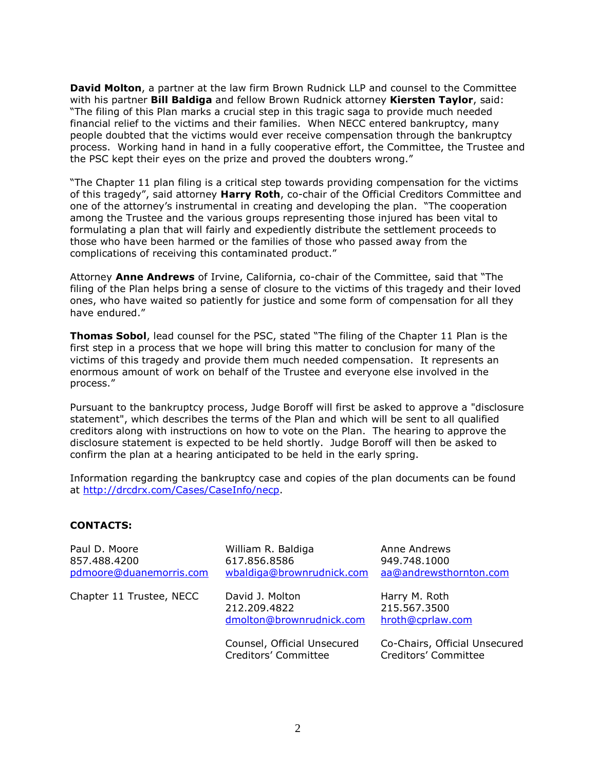**David Molton**, a partner at the law firm Brown Rudnick LLP and counsel to the Committee with his partner **Bill Baldiga** and fellow Brown Rudnick attorney **Kiersten Taylor**, said: "The filing of this Plan marks a crucial step in this tragic saga to provide much needed financial relief to the victims and their families. When NECC entered bankruptcy, many people doubted that the victims would ever receive compensation through the bankruptcy process. Working hand in hand in a fully cooperative effort, the Committee, the Trustee and the PSC kept their eyes on the prize and proved the doubters wrong."

"The Chapter 11 plan filing is a critical step towards providing compensation for the victims of this tragedy", said attorney **Harry Roth**, co-chair of the Official Creditors Committee and one of the attorney's instrumental in creating and developing the plan. "The cooperation among the Trustee and the various groups representing those injured has been vital to formulating a plan that will fairly and expediently distribute the settlement proceeds to those who have been harmed or the families of those who passed away from the complications of receiving this contaminated product."

Attorney **Anne Andrews** of Irvine, California, co-chair of the Committee, said that "The filing of the Plan helps bring a sense of closure to the victims of this tragedy and their loved ones, who have waited so patiently for justice and some form of compensation for all they have endured."

**Thomas Sobol**, lead counsel for the PSC, stated "The filing of the Chapter 11 Plan is the first step in a process that we hope will bring this matter to conclusion for many of the victims of this tragedy and provide them much needed compensation. It represents an enormous amount of work on behalf of the Trustee and everyone else involved in the process."

Pursuant to the bankruptcy process, Judge Boroff will first be asked to approve a "disclosure statement", which describes the terms of the Plan and which will be sent to all qualified creditors along with instructions on how to vote on the Plan. The hearing to approve the disclosure statement is expected to be held shortly. Judge Boroff will then be asked to confirm the plan at a hearing anticipated to be held in the early spring.

Information regarding the bankruptcy case and copies of the plan documents can be found at http://drcdrx.com/Cases/CaseInfo/necp.

## **CONTACTS:**

| Paul D. Moore<br>857.488.4200<br>pdmoore@duanemorris.com | William R. Baldiga<br>617.856.8586<br>wbaldiga@brownrudnick.com | Anne Andrews<br>949.748.1000<br>aa@andrewsthornton.com |
|----------------------------------------------------------|-----------------------------------------------------------------|--------------------------------------------------------|
| Chapter 11 Trustee, NECC                                 | David J. Molton<br>212.209.4822<br>dmolton@brownrudnick.com     | Harry M. Roth<br>215.567.3500<br>hroth@cprlaw.com      |
|                                                          | Counsel, Official Unsecured<br>Creditors' Committee             | Co-Chairs, Official Unsecured<br>Creditors' Committee  |